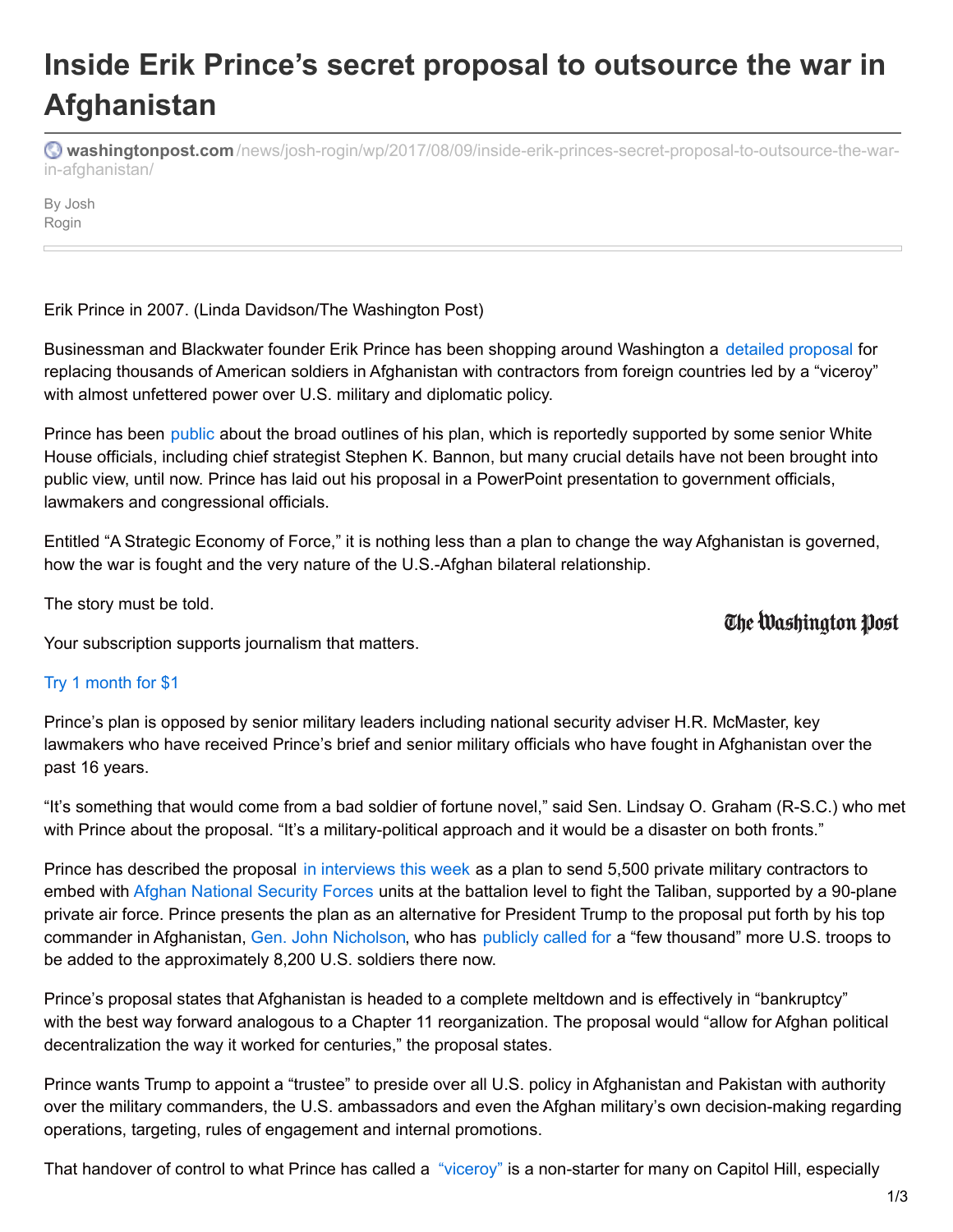## **Inside Erik Prince's secret proposal to outsource the war in Afghanistan**

**washingtonpost.com** [/news/josh-rogin/wp/2017/08/09/inside-erik-princes-secret-proposal-to-outsource-the-war](https://www.washingtonpost.com/news/josh-rogin/wp/2017/08/09/inside-erik-princes-secret-proposal-to-outsource-the-war-in-afghanistan/?utm_term=.a9ea8c43d855)in-afghanistan/

By Josh Rogin

Erik Prince in 2007. (Linda Davidson/The Washington Post)

Businessman and Blackwater founder Erik Prince has been shopping around Washington a detailed [proposal](https://www.wsj.com/articles/the-macarthur-model-for-afghanistan-1496269058) for replacing thousands of American soldiers in Afghanistan with contractors from foreign countries led by a "viceroy" with almost unfettered power over U.S. military and diplomatic policy.

Prince has been [public](https://www.washingtonpost.com/opinions/could-mercenaries-end-americas-longest-war/2017/07/17/9ff2bca6-6b1a-11e7-b9e2-2056e768a7e5_story.html?utm_term=.ed1603db3069) about the broad outlines of his plan, which is reportedly supported by some senior White House officials, including chief strategist Stephen K. Bannon, but many crucial details have not been brought into public view, until now. Prince has laid out his proposal in a PowerPoint presentation to government officials, lawmakers and congressional officials.

Entitled "A Strategic Economy of Force," it is nothing less than a plan to change the way Afghanistan is governed, how the war is fought and the very nature of the U.S.-Afghan bilateral relationship.

The story must be told.

## The Washington Post

Your subscription supports journalism that matters.

## Try 1 [month](https://subscribe.washingtonpost.com/acquisition/?promo=d_am_in&ttexclude=1) for \$1

Prince's plan is opposed by senior military leaders including national security adviser H.R. McMaster, key lawmakers who have received Prince's brief and senior military officials who have fought in Afghanistan over the past 16 years.

"It's something that would come from a bad soldier of fortune novel," said Sen. Lindsay O. Graham (R-S.C.) who met with Prince about the proposal. "It's a military-political approach and it would be a disaster on both fronts."

Prince has described the proposal in [interviews](https://www.usatoday.com/story/news/world/2017/08/08/war-afghanistan-trump-white-house-weighs-bold-plan-privatize/548004001/) this week as a plan to send 5,500 private military contractors to embed with Afghan [National](http://www.army.mod.uk/operations-deployments/22813.aspx) Security Forces units at the battalion level to fight the Taliban, supported by a 90-plane private air force. Prince presents the plan as an alternative for President Trump to the proposal put forth by his top commander in Afghanistan, Gen. John [Nicholson](https://www.washingtonpost.com/news/checkpoint/wp/2016/01/28/meet-the-next-commander-in-afghanistan-who-has-deeper-experience-there-than-almost-any-u-s-general/?utm_term=.b9f35a907af4), who has [publicly](https://www.nytimes.com/2017/02/09/us/politics/us-afghanistan-troops.html?_r=0) called for a "few thousand" more U.S. troops to be added to the approximately 8,200 U.S. soldiers there now.

Prince's proposal states that Afghanistan is headed to a complete meltdown and is effectively in "bankruptcy" with the best way forward analogous to a Chapter 11 reorganization. The proposal would "allow for Afghan political decentralization the way it worked for centuries," the proposal states.

Prince wants Trump to appoint a "trustee" to preside over all U.S. policy in Afghanistan and Pakistan with authority over the military commanders, the U.S. ambassadors and even the Afghan military's own decision-making regarding operations, targeting, rules of engagement and internal promotions.

That handover of control to what Prince has called a ["viceroy"](https://www.wsj.com/articles/the-macarthur-model-for-afghanistan-1496269058) is a non-starter for many on Capitol Hill, especially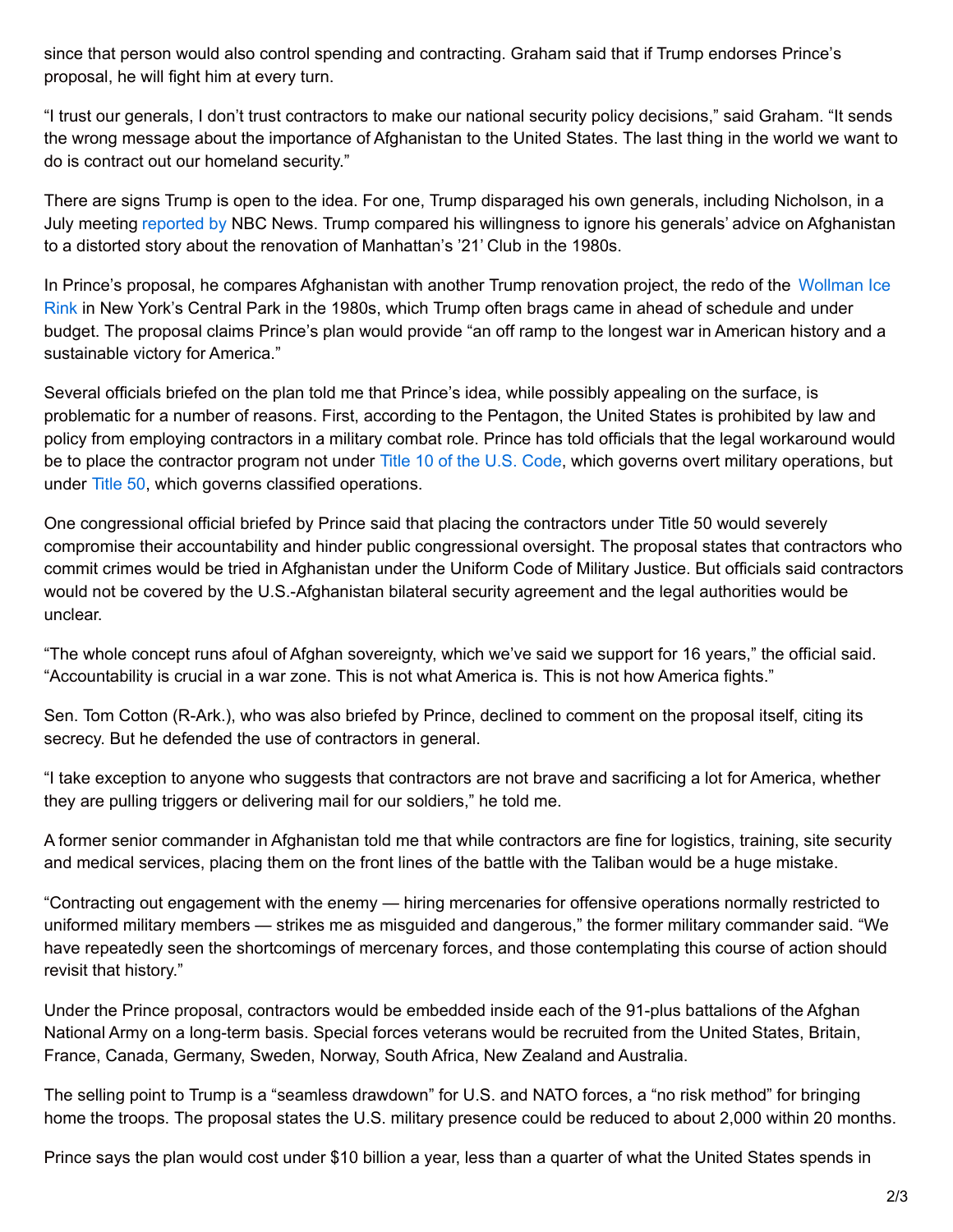since that person would also control spending and contracting. Graham said that if Trump endorses Prince's proposal, he will fight him at every turn.

"I trust our generals, I don't trust contractors to make our national security policy decisions," said Graham. "It sends the wrong message about the importance of Afghanistan to the United States. The last thing in the world we want to do is contract out our homeland security."

There are signs Trump is open to the idea. For one, Trump disparaged his own generals, including Nicholson, in a July meeting [reported](http://www.nbcnews.com/news/us-news/trump-says-u-s-losing-afghan-war-tense-meeting-generals-n789006) by NBC News. Trump compared his willingness to ignore his generals' advice on Afghanistan to a distorted story about the renovation of Manhattan's '21' Club in the 1980s.

In Prince's proposal, he compares [Afghanistan](https://en.wikipedia.org/wiki/Wollman_Rink) with another Trump renovation project, the redo of the Wollman Ice Rink in New York's Central Park in the 1980s, which Trump often brags came in ahead of schedule and under budget. The proposal claims Prince's plan would provide "an off ramp to the longest war in American history and a sustainable victory for America."

Several officials briefed on the plan told me that Prince's idea, while possibly appealing on the surface, is problematic for a number of reasons. First, according to the Pentagon, the United States is prohibited by law and policy from employing contractors in a military combat role. Prince has told officials that the legal workaround would be to place the contractor program not under Title 10 of the U.S. [Code](http://uscode.house.gov/browse/prelim@title10&edition=prelim), which governs overt military operations, but under [Title](http://uscode.house.gov/browse/prelim@title50&edition=prelim) 50, which governs classified operations.

One congressional official briefed by Prince said that placing the contractors under Title 50 would severely compromise their accountability and hinder public congressional oversight. The proposal states that contractors who commit crimes would be tried in Afghanistan under the Uniform Code of Military Justice. But officials said contractors would not be covered by the U.S.-Afghanistan bilateral security agreement and the legal authorities would be unclear.

"The whole concept runs afoul of Afghan sovereignty, which we've said we support for 16 years," the official said. "Accountability is crucial in a war zone. This is not what America is. This is not how America fights."

Sen. Tom Cotton (R-Ark.), who was also briefed by Prince, declined to comment on the proposal itself, citing its secrecy. But he defended the use of contractors in general.

"I take exception to anyone who suggests that contractors are not brave and sacrificing a lot for America, whether they are pulling triggers or delivering mail for our soldiers," he told me.

A former senior commander in Afghanistan told me that while contractors are fine for logistics, training, site security and medical services, placing them on the front lines of the battle with the Taliban would be a huge mistake.

"Contracting out engagement with the enemy — hiring mercenaries for offensive operations normally restricted to uniformed military members — strikes me as misguided and dangerous," the former military commander said. "We have repeatedly seen the shortcomings of mercenary forces, and those contemplating this course of action should revisit that history."

Under the Prince proposal, contractors would be embedded inside each of the 91-plus battalions of the Afghan National Army on a long-term basis. Special forces veterans would be recruited from the United States, Britain, France, Canada, Germany, Sweden, Norway, South Africa, New Zealand and Australia.

The selling point to Trump is a "seamless drawdown" for U.S. and NATO forces, a "no risk method" for bringing home the troops. The proposal states the U.S. military presence could be reduced to about 2,000 within 20 months.

Prince says the plan would cost under \$10 billion a year, less than a quarter of what the United States spends in